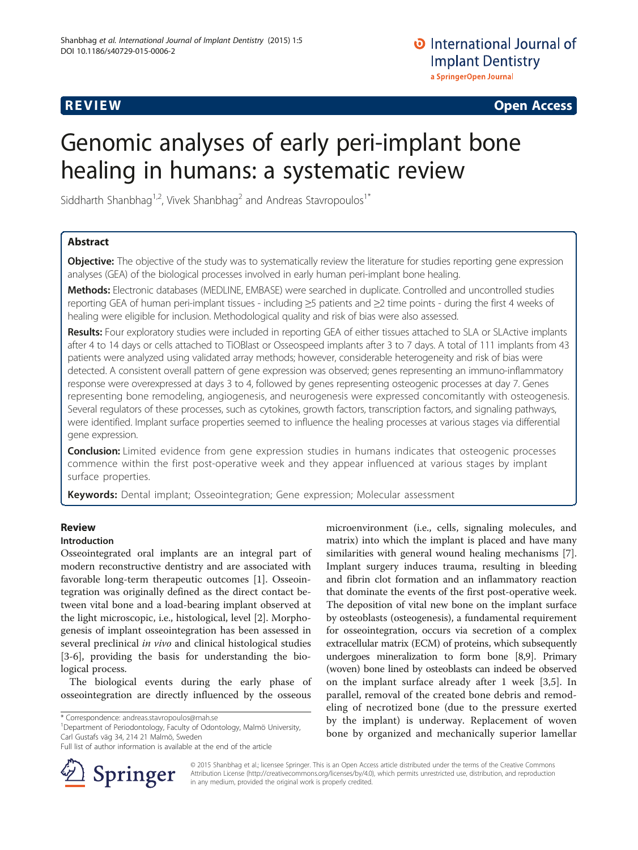**REVIEW REVIEW CONSTRUCTER ACCESS** 

# Genomic analyses of early peri-implant bone healing in humans: a systematic review

Siddharth Shanbhag<sup>1,2</sup>, Vivek Shanbhag<sup>2</sup> and Andreas Stavropoulos<sup>1\*</sup>

# Abstract

**Objective:** The objective of the study was to systematically review the literature for studies reporting gene expression analyses (GEA) of the biological processes involved in early human peri-implant bone healing.

Methods: Electronic databases (MEDLINE, EMBASE) were searched in duplicate. Controlled and uncontrolled studies reporting GEA of human peri-implant tissues - including ≥5 patients and ≥2 time points - during the first 4 weeks of healing were eligible for inclusion. Methodological quality and risk of bias were also assessed.

Results: Four exploratory studies were included in reporting GEA of either tissues attached to SLA or SLActive implants after 4 to 14 days or cells attached to TiOBlast or Osseospeed implants after 3 to 7 days. A total of 111 implants from 43 patients were analyzed using validated array methods; however, considerable heterogeneity and risk of bias were detected. A consistent overall pattern of gene expression was observed; genes representing an immuno-inflammatory response were overexpressed at days 3 to 4, followed by genes representing osteogenic processes at day 7. Genes representing bone remodeling, angiogenesis, and neurogenesis were expressed concomitantly with osteogenesis. Several regulators of these processes, such as cytokines, growth factors, transcription factors, and signaling pathways, were identified. Implant surface properties seemed to influence the healing processes at various stages via differential gene expression.

**Conclusion:** Limited evidence from gene expression studies in humans indicates that osteogenic processes commence within the first post-operative week and they appear influenced at various stages by implant surface properties.

Keywords: Dental implant; Osseointegration; Gene expression; Molecular assessment

# Review

# Introduction

Osseointegrated oral implants are an integral part of modern reconstructive dentistry and are associated with favorable long-term therapeutic outcomes [[1\]](#page-10-0). Osseointegration was originally defined as the direct contact between vital bone and a load-bearing implant observed at the light microscopic, i.e., histological, level [\[2](#page-10-0)]. Morphogenesis of implant osseointegration has been assessed in several preclinical in vivo and clinical histological studies [[3-6](#page-10-0)], providing the basis for understanding the biological process.

The biological events during the early phase of osseointegration are directly influenced by the osseous

\* Correspondence: [andreas.stavropoulos@mah.se](mailto:andreas.stavropoulos@mah.se) <sup>1</sup>

Department of Periodontology, Faculty of Odontology, Malmö University, Carl Gustafs väg 34, 214 21 Malmö, Sweden

Full list of author information is available at the end of the article



microenvironment (i.e., cells, signaling molecules, and matrix) into which the implant is placed and have many similarities with general wound healing mechanisms [\[7](#page-10-0)]. Implant surgery induces trauma, resulting in bleeding and fibrin clot formation and an inflammatory reaction that dominate the events of the first post-operative week. The deposition of vital new bone on the implant surface by osteoblasts (osteogenesis), a fundamental requirement for osseointegration, occurs via secretion of a complex extracellular matrix (ECM) of proteins, which subsequently undergoes mineralization to form bone [\[8,9\]](#page-10-0). Primary (woven) bone lined by osteoblasts can indeed be observed on the implant surface already after 1 week [\[3,5](#page-10-0)]. In parallel, removal of the created bone debris and remodeling of necrotized bone (due to the pressure exerted by the implant) is underway. Replacement of woven bone by organized and mechanically superior lamellar

© 2015 Shanbhag et al.; licensee Springer. This is an Open Access article distributed under the terms of the Creative Commons Attribution License [\(http://creativecommons.org/licenses/by/4.0\)](http://creativecommons.org/licenses/by/4.0), which permits unrestricted use, distribution, and reproduction in any medium, provided the original work is properly credited.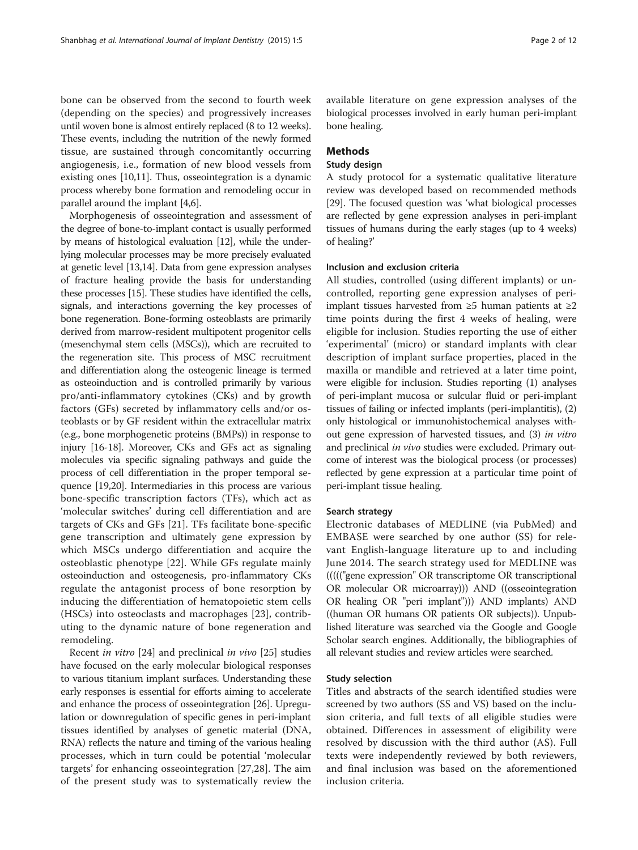bone can be observed from the second to fourth week (depending on the species) and progressively increases until woven bone is almost entirely replaced (8 to 12 weeks). These events, including the nutrition of the newly formed tissue, are sustained through concomitantly occurring angiogenesis, i.e., formation of new blood vessels from existing ones [\[10,11\]](#page-10-0). Thus, osseointegration is a dynamic process whereby bone formation and remodeling occur in parallel around the implant [\[4,6\]](#page-10-0).

Morphogenesis of osseointegration and assessment of the degree of bone-to-implant contact is usually performed by means of histological evaluation [\[12\]](#page-10-0), while the underlying molecular processes may be more precisely evaluated at genetic level [\[13,14\]](#page-10-0). Data from gene expression analyses of fracture healing provide the basis for understanding these processes [[15](#page-10-0)]. These studies have identified the cells, signals, and interactions governing the key processes of bone regeneration. Bone-forming osteoblasts are primarily derived from marrow-resident multipotent progenitor cells (mesenchymal stem cells (MSCs)), which are recruited to the regeneration site. This process of MSC recruitment and differentiation along the osteogenic lineage is termed as osteoinduction and is controlled primarily by various pro/anti-inflammatory cytokines (CKs) and by growth factors (GFs) secreted by inflammatory cells and/or osteoblasts or by GF resident within the extracellular matrix (e.g., bone morphogenetic proteins (BMPs)) in response to injury [[16](#page-10-0)-[18](#page-10-0)]. Moreover, CKs and GFs act as signaling molecules via specific signaling pathways and guide the process of cell differentiation in the proper temporal sequence [[19,20](#page-10-0)]. Intermediaries in this process are various bone-specific transcription factors (TFs), which act as 'molecular switches' during cell differentiation and are targets of CKs and GFs [[21](#page-10-0)]. TFs facilitate bone-specific gene transcription and ultimately gene expression by which MSCs undergo differentiation and acquire the osteoblastic phenotype [[22\]](#page-10-0). While GFs regulate mainly osteoinduction and osteogenesis, pro-inflammatory CKs regulate the antagonist process of bone resorption by inducing the differentiation of hematopoietic stem cells (HSCs) into osteoclasts and macrophages [[23](#page-10-0)], contributing to the dynamic nature of bone regeneration and remodeling.

Recent in vitro [\[24](#page-10-0)] and preclinical in vivo [\[25\]](#page-10-0) studies have focused on the early molecular biological responses to various titanium implant surfaces. Understanding these early responses is essential for efforts aiming to accelerate and enhance the process of osseointegration [[26](#page-10-0)]. Upregulation or downregulation of specific genes in peri-implant tissues identified by analyses of genetic material (DNA, RNA) reflects the nature and timing of the various healing processes, which in turn could be potential 'molecular targets' for enhancing osseointegration [[27,28](#page-10-0)]. The aim of the present study was to systematically review the

available literature on gene expression analyses of the biological processes involved in early human peri-implant bone healing.

# Methods

# Study design

A study protocol for a systematic qualitative literature review was developed based on recommended methods [[29](#page-10-0)]. The focused question was 'what biological processes are reflected by gene expression analyses in peri-implant tissues of humans during the early stages (up to 4 weeks) of healing?'

# Inclusion and exclusion criteria

All studies, controlled (using different implants) or uncontrolled, reporting gene expression analyses of periimplant tissues harvested from ≥5 human patients at ≥2 time points during the first 4 weeks of healing, were eligible for inclusion. Studies reporting the use of either 'experimental' (micro) or standard implants with clear description of implant surface properties, placed in the maxilla or mandible and retrieved at a later time point, were eligible for inclusion. Studies reporting (1) analyses of peri-implant mucosa or sulcular fluid or peri-implant tissues of failing or infected implants (peri-implantitis), (2) only histological or immunohistochemical analyses without gene expression of harvested tissues, and (3) in vitro and preclinical in vivo studies were excluded. Primary outcome of interest was the biological process (or processes) reflected by gene expression at a particular time point of peri-implant tissue healing.

# Search strategy

Electronic databases of MEDLINE (via PubMed) and EMBASE were searched by one author (SS) for relevant English-language literature up to and including June 2014. The search strategy used for MEDLINE was ((((("gene expression" OR transcriptome OR transcriptional OR molecular OR microarray))) AND ((osseointegration OR healing OR "peri implant"))) AND implants) AND ((human OR humans OR patients OR subjects)). Unpublished literature was searched via the Google and Google Scholar search engines. Additionally, the bibliographies of all relevant studies and review articles were searched.

# Study selection

Titles and abstracts of the search identified studies were screened by two authors (SS and VS) based on the inclusion criteria, and full texts of all eligible studies were obtained. Differences in assessment of eligibility were resolved by discussion with the third author (AS). Full texts were independently reviewed by both reviewers, and final inclusion was based on the aforementioned inclusion criteria.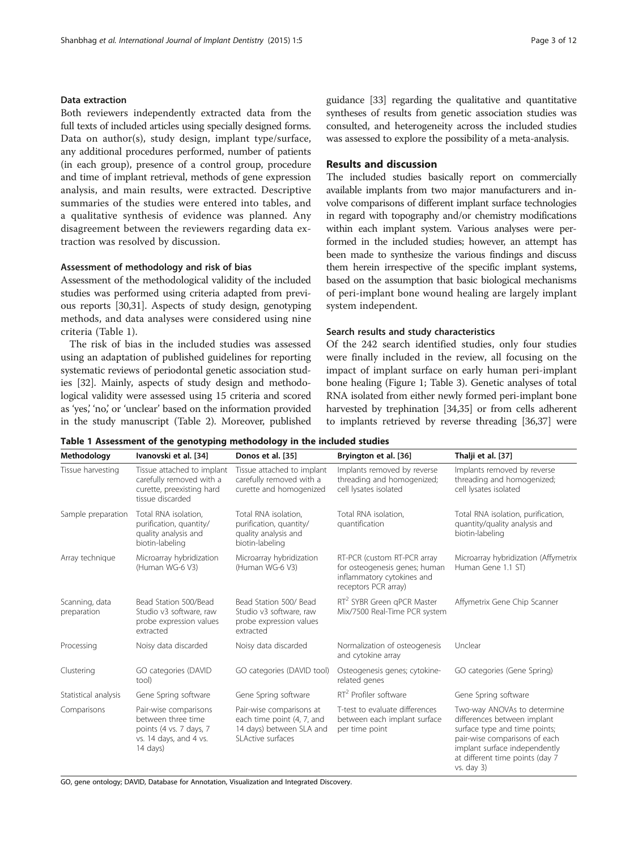# <span id="page-2-0"></span>Data extraction

Both reviewers independently extracted data from the full texts of included articles using specially designed forms. Data on author(s), study design, implant type/surface, any additional procedures performed, number of patients (in each group), presence of a control group, procedure and time of implant retrieval, methods of gene expression analysis, and main results, were extracted. Descriptive summaries of the studies were entered into tables, and a qualitative synthesis of evidence was planned. Any disagreement between the reviewers regarding data extraction was resolved by discussion.

# Assessment of methodology and risk of bias

Assessment of the methodological validity of the included studies was performed using criteria adapted from previous reports [[30,31\]](#page-10-0). Aspects of study design, genotyping methods, and data analyses were considered using nine criteria (Table 1).

The risk of bias in the included studies was assessed using an adaptation of published guidelines for reporting systematic reviews of periodontal genetic association studies [\[32\]](#page-10-0). Mainly, aspects of study design and methodological validity were assessed using 15 criteria and scored as 'yes,' 'no,' or 'unclear' based on the information provided in the study manuscript (Table [2\)](#page-3-0). Moreover, published guidance [\[33\]](#page-10-0) regarding the qualitative and quantitative syntheses of results from genetic association studies was consulted, and heterogeneity across the included studies was assessed to explore the possibility of a meta-analysis.

# Results and discussion

The included studies basically report on commercially available implants from two major manufacturers and involve comparisons of different implant surface technologies in regard with topography and/or chemistry modifications within each implant system. Various analyses were performed in the included studies; however, an attempt has been made to synthesize the various findings and discuss them herein irrespective of the specific implant systems, based on the assumption that basic biological mechanisms of peri-implant bone wound healing are largely implant system independent.

# Search results and study characteristics

Of the 242 search identified studies, only four studies were finally included in the review, all focusing on the impact of implant surface on early human peri-implant bone healing (Figure [1](#page-3-0); Table [3](#page-4-0)). Genetic analyses of total RNA isolated from either newly formed peri-implant bone harvested by trephination [\[34,35](#page-10-0)] or from cells adherent to implants retrieved by reverse threading [\[36,37\]](#page-10-0) were

| Methodology                   | Ivanovski et al. [34]                                                                                                 | Donos et al. [35]                                                                                       | Bryington et al. [36]                                                                                              | Thalji et al. [37]                                                                                                                                                                                                 |
|-------------------------------|-----------------------------------------------------------------------------------------------------------------------|---------------------------------------------------------------------------------------------------------|--------------------------------------------------------------------------------------------------------------------|--------------------------------------------------------------------------------------------------------------------------------------------------------------------------------------------------------------------|
| Tissue harvesting             | Tissue attached to implant<br>carefully removed with a<br>curette, preexisting hard<br>tissue discarded               | Tissue attached to implant<br>carefully removed with a<br>curette and homogenized                       | Implants removed by reverse<br>threading and homogenized;<br>cell lysates isolated                                 | Implants removed by reverse<br>threading and homogenized;<br>cell lysates isolated                                                                                                                                 |
| Sample preparation            | Total RNA isolation,<br>purification, quantity/<br>quality analysis and<br>biotin-labeling                            | Total RNA isolation.<br>purification, quantity/<br>quality analysis and<br>biotin-labeling              | Total RNA isolation,<br>quantification                                                                             | Total RNA isolation, purification,<br>quantity/quality analysis and<br>biotin-labeling                                                                                                                             |
| Array technique               | Microarray hybridization<br>(Human WG-6 V3)                                                                           | Microarray hybridization<br>(Human WG-6 V3)                                                             | RT-PCR (custom RT-PCR array<br>for osteogenesis genes; human<br>inflammatory cytokines and<br>receptors PCR array) | Microarray hybridization (Affymetrix<br>Human Gene 1.1 ST)                                                                                                                                                         |
| Scanning, data<br>preparation | Bead Station 500/Bead<br>Studio v3 software, raw<br>probe expression values<br>extracted                              | Bead Station 500/ Bead<br>Studio v3 software, raw<br>probe expression values<br>extracted               | RT <sup>2</sup> SYBR Green qPCR Master<br>Mix/7500 Real-Time PCR system                                            | Affymetrix Gene Chip Scanner                                                                                                                                                                                       |
| Processing                    | Noisy data discarded                                                                                                  | Noisy data discarded                                                                                    | Normalization of osteogenesis<br>and cytokine array                                                                | Unclear                                                                                                                                                                                                            |
| Clustering                    | GO categories (DAVID<br>tool)                                                                                         | GO categories (DAVID tool)                                                                              | Osteogenesis genes; cytokine-<br>related genes                                                                     | GO categories (Gene Spring)                                                                                                                                                                                        |
| Statistical analysis          | Gene Spring software                                                                                                  | Gene Spring software                                                                                    | $RT2$ Profiler software                                                                                            | Gene Spring software                                                                                                                                                                                               |
| Comparisons                   | Pair-wise comparisons<br>between three time<br>points (4 vs. 7 days, 7<br>vs. 14 days, and 4 vs.<br>$14 \text{ days}$ | Pair-wise comparisons at<br>each time point (4, 7, and<br>14 days) between SLA and<br>SLActive surfaces | T-test to evaluate differences<br>between each implant surface<br>per time point                                   | Two-way ANOVAs to determine<br>differences between implant<br>surface type and time points;<br>pair-wise comparisons of each<br>implant surface independently<br>at different time points (day 7<br>$vs.$ day $3)$ |

Table 1 Assessment of the genotyping methodology in the included studies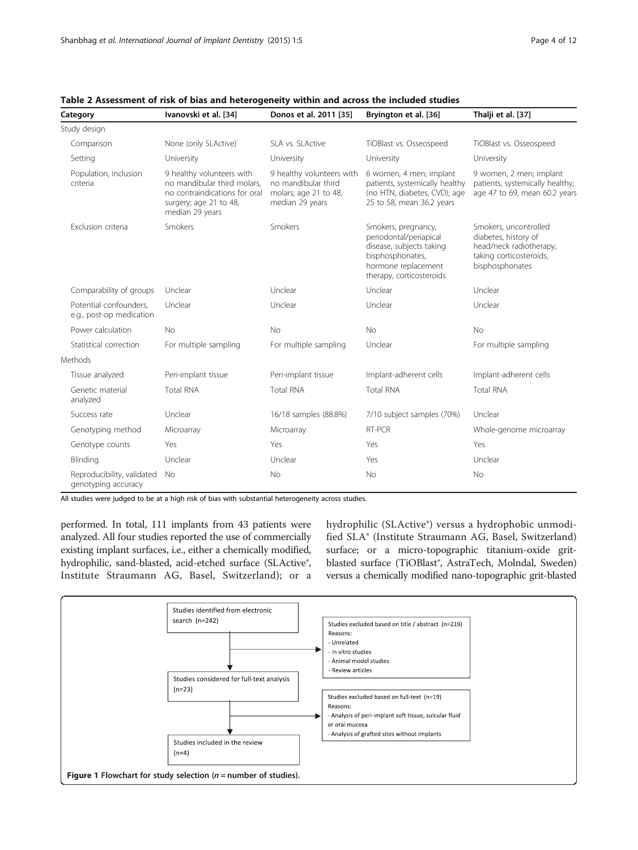<span id="page-3-0"></span>

| Table 2 Assessment of risk of bias and heterogeneity within and across the included studies |                      |                        |                             |                   |  |
|---------------------------------------------------------------------------------------------|----------------------|------------------------|-----------------------------|-------------------|--|
| Category                                                                                    | Ivanovski et al [34] | Donos et al. 2011 [35] | <b>Rryington et al [36]</b> | Thalii et al [37] |  |

| Category                                           | Ivanovski et al. [34]                                                                                                                  | Donos et al. 2011 [35]                                                                       | Bryington et al. [36]                                                                                                                            | Thalji et al. [37]                                                                                                     |
|----------------------------------------------------|----------------------------------------------------------------------------------------------------------------------------------------|----------------------------------------------------------------------------------------------|--------------------------------------------------------------------------------------------------------------------------------------------------|------------------------------------------------------------------------------------------------------------------------|
| Study design                                       |                                                                                                                                        |                                                                                              |                                                                                                                                                  |                                                                                                                        |
| Comparison                                         | None (only SLActive)                                                                                                                   | SLA vs. SLActive                                                                             | TiOBlast vs. Osseospeed                                                                                                                          | TiOBlast vs. Osseospeed                                                                                                |
| Setting                                            | University                                                                                                                             | University                                                                                   | University                                                                                                                                       | University                                                                                                             |
| Population, inclusion<br>criteria                  | 9 healthy volunteers with<br>no mandibular third molars,<br>no contraindications for oral<br>surgery; age 21 to 48,<br>median 29 years | 9 healthy volunteers with<br>no mandibular third<br>molars; age 21 to 48,<br>median 29 years | 6 women, 4 men; implant<br>patients, systemically healthy<br>(no HTN, diabetes, CVD); age<br>25 to 58, mean 36.2 years                           | 9 women, 2 men; implant<br>patients, systemically healthy;<br>age 47 to 69, mean 60.2 years                            |
| Exclusion criteria                                 | <b>Smokers</b>                                                                                                                         | Smokers                                                                                      | Smokers, pregnancy,<br>periodontal/periapical<br>disease, subjects taking<br>bisphosphonates,<br>hormone replacement<br>therapy, corticosteroids | Smokers, uncontrolled<br>diabetes, history of<br>head/neck radiotherapy,<br>taking corticosteroids,<br>bisphosphonates |
| Comparability of groups                            | Unclear                                                                                                                                | Unclear                                                                                      | Unclear                                                                                                                                          | Unclear                                                                                                                |
| Potential confounders,<br>e.g., post-op medication | Unclear                                                                                                                                | Unclear                                                                                      | Unclear                                                                                                                                          | Unclear                                                                                                                |
| Power calculation                                  | <b>No</b>                                                                                                                              | No                                                                                           | <b>No</b>                                                                                                                                        | No                                                                                                                     |
| Statistical correction                             | For multiple sampling                                                                                                                  | For multiple sampling                                                                        | Unclear                                                                                                                                          | For multiple sampling                                                                                                  |
| Methods                                            |                                                                                                                                        |                                                                                              |                                                                                                                                                  |                                                                                                                        |
| Tissue analyzed                                    | Peri-implant tissue                                                                                                                    | Peri-implant tissue                                                                          | Implant-adherent cells                                                                                                                           | Implant-adherent cells                                                                                                 |
| Genetic material<br>analyzed                       | <b>Total RNA</b>                                                                                                                       | <b>Total RNA</b>                                                                             | <b>Total RNA</b>                                                                                                                                 | <b>Total RNA</b>                                                                                                       |
| Success rate                                       | Unclear                                                                                                                                | 16/18 samples (88.8%)                                                                        | 7/10 subject samples (70%)                                                                                                                       | Unclear                                                                                                                |
| Genotyping method                                  | Microarray                                                                                                                             | Microarray                                                                                   | RT-PCR                                                                                                                                           | Whole-genome microarray                                                                                                |
| Genotype counts                                    | Yes                                                                                                                                    | Yes                                                                                          | Yes                                                                                                                                              | Yes                                                                                                                    |
| Blinding                                           | Unclear                                                                                                                                | Unclear                                                                                      | Yes                                                                                                                                              | Unclear                                                                                                                |
| Reproducibility, validated<br>genotyping accuracy  | No                                                                                                                                     | <b>No</b>                                                                                    | <b>No</b>                                                                                                                                        | <b>No</b>                                                                                                              |

## All studies were judged to be at a high risk of bias with substantial heterogeneity across studies.

performed. In total, 111 implants from 43 patients were analyzed. All four studies reported the use of commercially existing implant surfaces, i.e., either a chemically modified, hydrophilic, sand-blasted, acid-etched surface (SLActive®, Institute Straumann AG, Basel, Switzerland); or a

hydrophilic (SLActive®) versus a hydrophobic unmodified SLA® (Institute Straumann AG, Basel, Switzerland) surface; or a micro-topographic titanium-oxide gritblasted surface (TiOBlast®, AstraTech, Molndal, Sweden) versus a chemically modified nano-topographic grit-blasted

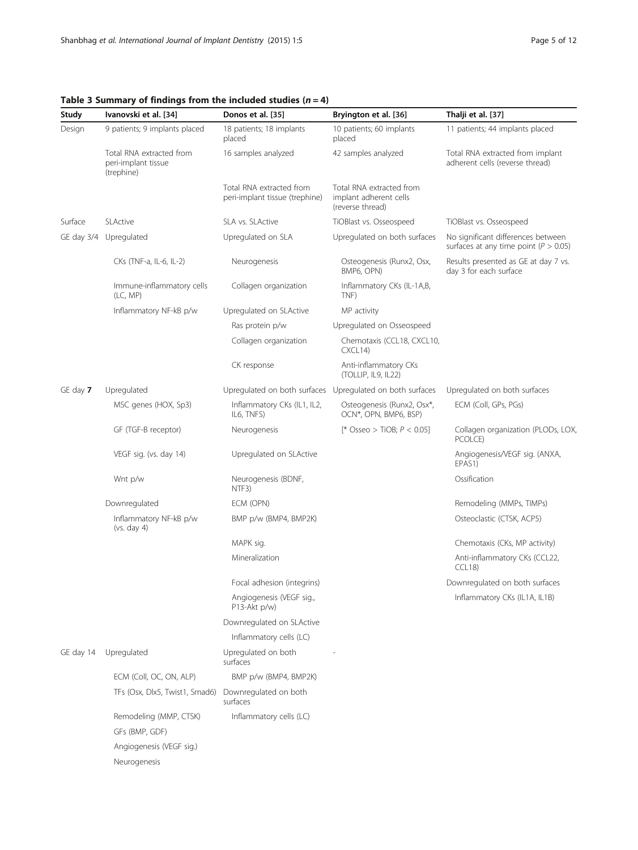<span id="page-4-0"></span>Table 3 Summary of findings from the included studies  $(n = 4)$ 

| Study      | Ivanovski et al. [34]                                         | Donos et al. [35]                                          | Bryington et al. [36]                                                  | Thalji et al. [37]                                                              |
|------------|---------------------------------------------------------------|------------------------------------------------------------|------------------------------------------------------------------------|---------------------------------------------------------------------------------|
| Design     | 9 patients; 9 implants placed                                 | 18 patients; 18 implants<br>placed                         | 10 patients; 60 implants<br>placed                                     | 11 patients; 44 implants placed                                                 |
|            | Total RNA extracted from<br>peri-implant tissue<br>(trephine) | 16 samples analyzed                                        | 42 samples analyzed                                                    | Total RNA extracted from implant<br>adherent cells (reverse thread)             |
|            |                                                               | Total RNA extracted from<br>peri-implant tissue (trephine) | Total RNA extracted from<br>implant adherent cells<br>(reverse thread) |                                                                                 |
| Surface    | <b>SLActive</b>                                               | SLA vs. SLActive                                           | TiOBlast vs. Osseospeed                                                | TiOBlast vs. Osseospeed                                                         |
| GE day 3/4 | Upregulated                                                   | Upregulated on SLA                                         | Upregulated on both surfaces                                           | No significant differences between<br>surfaces at any time point ( $P > 0.05$ ) |
|            | CKs (TNF-a, IL-6, IL-2)                                       | Neurogenesis                                               | Osteogenesis (Runx2, Osx,<br>BMP6, OPN)                                | Results presented as GE at day 7 vs.<br>day 3 for each surface                  |
|            | Immune-inflammatory cells<br>(LC, MP)                         | Collagen organization                                      | Inflammatory CKs (IL-1A,B,<br>TNF)                                     |                                                                                 |
|            | Inflammatory NF-kB p/w                                        | Upregulated on SLActive                                    | MP activity                                                            |                                                                                 |
|            |                                                               | Ras protein p/w                                            | Upregulated on Osseospeed                                              |                                                                                 |
|            |                                                               | Collagen organization                                      | Chemotaxis (CCL18, CXCL10,<br>CXCL14                                   |                                                                                 |
|            |                                                               | CK response                                                | Anti-inflammatory CKs<br>(TOLLIP, IL9, IL22)                           |                                                                                 |
| GE day 7   | Upregulated                                                   |                                                            | Upregulated on both surfaces Upregulated on both surfaces              | Upregulated on both surfaces                                                    |
|            | MSC genes (HOX, Sp3)                                          | Inflammatory CKs (IL1, IL2,<br>IL6, TNFS)                  | Osteogenesis (Runx2, Osx*,<br>OCN*, OPN, BMP6, BSP)                    | ECM (Coll, GPs, PGs)                                                            |
|            | GF (TGF-B receptor)                                           | Neurogenesis                                               | [* Osseo > TiOB; $P < 0.05$ ]                                          | Collagen organization (PLODs, LOX,<br>PCOLCE)                                   |
|            | VEGF sig. (vs. day 14)                                        | Upregulated on SLActive                                    |                                                                        | Angiogenesis/VEGF sig. (ANXA,<br>EPAS1)                                         |
|            | Wnt p/w                                                       | Neurogenesis (BDNF,<br>NTF3)                               |                                                                        | Ossification                                                                    |
|            | Downregulated                                                 | ECM (OPN)                                                  |                                                                        | Remodeling (MMPs, TIMPs)                                                        |
|            | Inflammatory NF-kB p/w<br>(vs. day 4)                         | BMP p/w (BMP4, BMP2K)                                      |                                                                        | Osteoclastic (CTSK, ACP5)                                                       |
|            |                                                               | MAPK sig.                                                  |                                                                        | Chemotaxis (CKs, MP activity)                                                   |
|            |                                                               | Mineralization                                             |                                                                        | Anti-inflammatory CKs (CCL22,<br>CCL18                                          |
|            |                                                               | Focal adhesion (integrins)                                 |                                                                        | Downregulated on both surfaces                                                  |
|            |                                                               | Angiogenesis (VEGF sig.,<br>$P13-Akt p/w$                  |                                                                        | Inflammatory CKs (IL1A, IL1B)                                                   |
|            |                                                               | Downregulated on SLActive                                  |                                                                        |                                                                                 |
|            |                                                               | Inflammatory cells (LC)                                    |                                                                        |                                                                                 |
| GE day 14  | Upregulated                                                   | Upregulated on both<br>surfaces                            |                                                                        |                                                                                 |
|            | ECM (Coll, OC, ON, ALP)                                       | BMP p/w (BMP4, BMP2K)                                      |                                                                        |                                                                                 |
|            | TFs (Osx, Dlx5, Twist1, Smad6)                                | Downregulated on both<br>surfaces                          |                                                                        |                                                                                 |
|            | Remodeling (MMP, CTSK)<br>GFs (BMP, GDF)                      | Inflammatory cells (LC)                                    |                                                                        |                                                                                 |
|            | Angiogenesis (VEGF sig.)<br>Neurogenesis                      |                                                            |                                                                        |                                                                                 |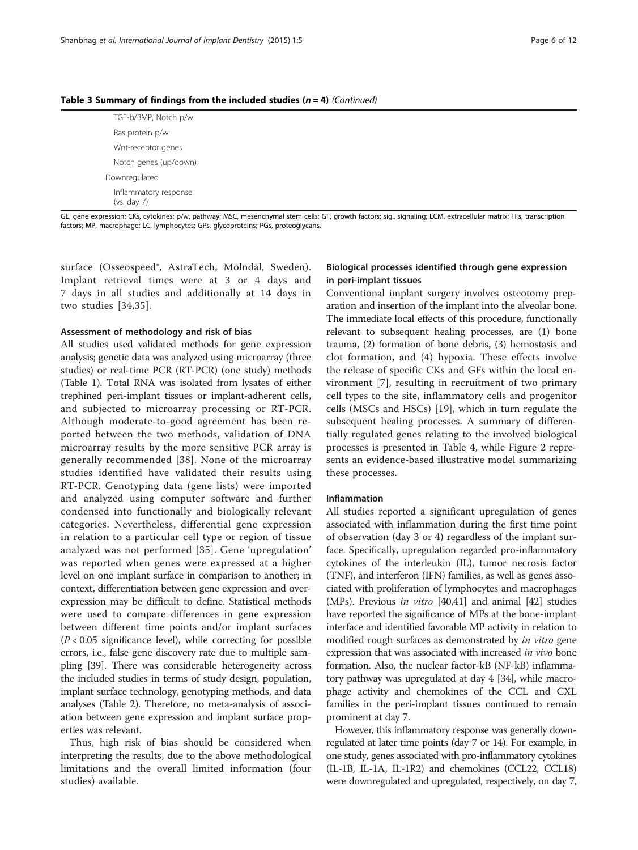| Table 3 Summary of findings from the included studies ( $n = 4$ ) (Continued) |  |  |  |  |  |
|-------------------------------------------------------------------------------|--|--|--|--|--|
|-------------------------------------------------------------------------------|--|--|--|--|--|

TGF-b/BMP, Notch p/w Ras protein p/w Wnt-receptor genes Notch genes (up/down) Downregulated Inflammatory response (vs. day 7)

GE, gene expression; CKs, cytokines; p/w, pathway; MSC, mesenchymal stem cells; GF, growth factors; sig., signaling; ECM, extracellular matrix; TFs, transcription factors; MP, macrophage; LC, lymphocytes; GPs, glycoproteins; PGs, proteoglycans.

surface (Osseospeed®, AstraTech, Molndal, Sweden). Implant retrieval times were at 3 or 4 days and 7 days in all studies and additionally at 14 days in two studies [[34](#page-10-0),[35\]](#page-10-0).

# Assessment of methodology and risk of bias

All studies used validated methods for gene expression analysis; genetic data was analyzed using microarray (three studies) or real-time PCR (RT-PCR) (one study) methods (Table [1](#page-2-0)). Total RNA was isolated from lysates of either trephined peri-implant tissues or implant-adherent cells, and subjected to microarray processing or RT-PCR. Although moderate-to-good agreement has been reported between the two methods, validation of DNA microarray results by the more sensitive PCR array is generally recommended [[38\]](#page-10-0). None of the microarray studies identified have validated their results using RT-PCR. Genotyping data (gene lists) were imported and analyzed using computer software and further condensed into functionally and biologically relevant categories. Nevertheless, differential gene expression in relation to a particular cell type or region of tissue analyzed was not performed [[35](#page-10-0)]. Gene 'upregulation' was reported when genes were expressed at a higher level on one implant surface in comparison to another; in context, differentiation between gene expression and overexpression may be difficult to define. Statistical methods were used to compare differences in gene expression between different time points and/or implant surfaces  $(P < 0.05$  significance level), while correcting for possible errors, i.e., false gene discovery rate due to multiple sampling [[39](#page-10-0)]. There was considerable heterogeneity across the included studies in terms of study design, population, implant surface technology, genotyping methods, and data analyses (Table [2](#page-3-0)). Therefore, no meta-analysis of association between gene expression and implant surface properties was relevant.

Thus, high risk of bias should be considered when interpreting the results, due to the above methodological limitations and the overall limited information (four studies) available.

# Biological processes identified through gene expression in peri-implant tissues

Conventional implant surgery involves osteotomy preparation and insertion of the implant into the alveolar bone. The immediate local effects of this procedure, functionally relevant to subsequent healing processes, are (1) bone trauma, (2) formation of bone debris, (3) hemostasis and clot formation, and (4) hypoxia. These effects involve the release of specific CKs and GFs within the local environment [[7](#page-10-0)], resulting in recruitment of two primary cell types to the site, inflammatory cells and progenitor cells (MSCs and HSCs) [\[19](#page-10-0)], which in turn regulate the subsequent healing processes. A summary of differentially regulated genes relating to the involved biological processes is presented in Table [4,](#page-6-0) while Figure [2](#page-7-0) represents an evidence-based illustrative model summarizing these processes.

# Inflammation

All studies reported a significant upregulation of genes associated with inflammation during the first time point of observation (day 3 or 4) regardless of the implant surface. Specifically, upregulation regarded pro-inflammatory cytokines of the interleukin (IL), tumor necrosis factor (TNF), and interferon (IFN) families, as well as genes associated with proliferation of lymphocytes and macrophages (MPs). Previous *in vitro*  $[40,41]$  $[40,41]$  $[40,41]$  and animal  $[42]$  $[42]$  studies have reported the significance of MPs at the bone-implant interface and identified favorable MP activity in relation to modified rough surfaces as demonstrated by *in vitro* gene expression that was associated with increased *in vivo* bone formation. Also, the nuclear factor-kB (NF-kB) inflammatory pathway was upregulated at day 4 [\[34](#page-10-0)], while macrophage activity and chemokines of the CCL and CXL families in the peri-implant tissues continued to remain prominent at day 7.

However, this inflammatory response was generally downregulated at later time points (day 7 or 14). For example, in one study, genes associated with pro-inflammatory cytokines (IL-1B, IL-1A, IL-1R2) and chemokines (CCL22, CCL18) were downregulated and upregulated, respectively, on day 7,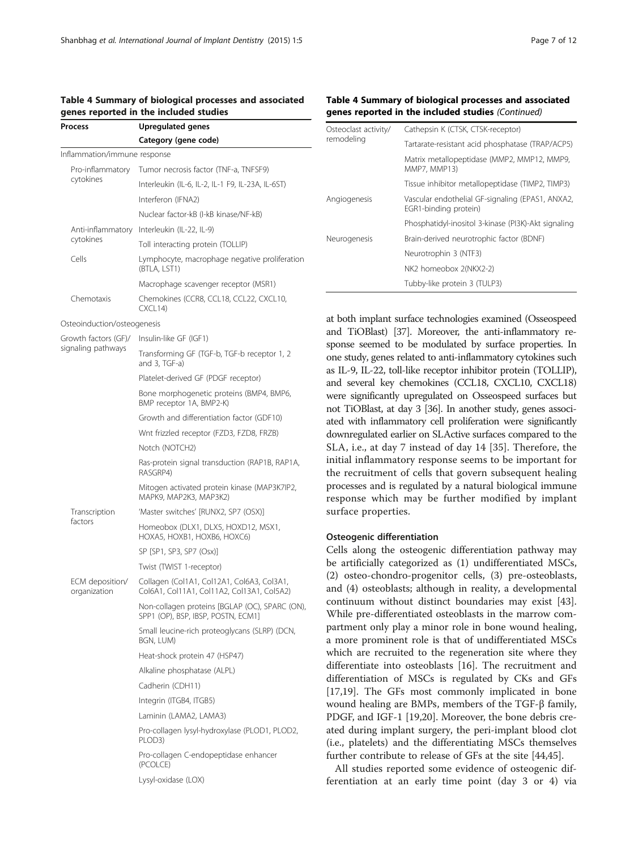<span id="page-6-0"></span>

| Table 4 Summary of biological processes and associated |  |  |
|--------------------------------------------------------|--|--|
| genes reported in the included studies                 |  |  |

| Process                         | Upregulated genes                                                                        |  |  |  |
|---------------------------------|------------------------------------------------------------------------------------------|--|--|--|
|                                 | Category (gene code)                                                                     |  |  |  |
| Inflammation/immune response    |                                                                                          |  |  |  |
| Pro-inflammatory<br>cytokines   | Tumor necrosis factor (TNF-a, TNFSF9)                                                    |  |  |  |
|                                 | Interleukin (IL-6, IL-2, IL-1 F9, IL-23A, IL-6ST)                                        |  |  |  |
|                                 | Interferon (IFNA2)                                                                       |  |  |  |
|                                 | Nuclear factor-kB (I-kB kinase/NF-kB)                                                    |  |  |  |
| Anti-inflammatory               | Interleukin (IL-22, IL-9)                                                                |  |  |  |
| cytokines                       | Toll interacting protein (TOLLIP)                                                        |  |  |  |
| Cells                           | Lymphocyte, macrophage negative proliferation<br>(BTLA, LST1)                            |  |  |  |
|                                 | Macrophage scavenger receptor (MSR1)                                                     |  |  |  |
| Chemotaxis                      | Chemokines (CCR8, CCL18, CCL22, CXCL10,<br>CXCL14                                        |  |  |  |
| Osteoinduction/osteogenesis     |                                                                                          |  |  |  |
| Growth factors (GF)/            | Insulin-like GF (IGF1)                                                                   |  |  |  |
| signaling pathways              | Transforming GF (TGF-b, TGF-b receptor 1, 2<br>and 3, TGF-a)                             |  |  |  |
|                                 | Platelet-derived GF (PDGF receptor)                                                      |  |  |  |
|                                 | Bone morphogenetic proteins (BMP4, BMP6,<br>BMP receptor 1A, BMP2-K)                     |  |  |  |
|                                 | Growth and differentiation factor (GDF10)                                                |  |  |  |
|                                 | Wnt frizzled receptor (FZD3, FZD8, FRZB)                                                 |  |  |  |
|                                 | Notch (NOTCH2)                                                                           |  |  |  |
|                                 | Ras-protein signal transduction (RAP1B, RAP1A,<br>RASGRP4)                               |  |  |  |
|                                 | Mitogen activated protein kinase (MAP3K7IP2,<br>MAPK9, MAP2K3, MAP3K2)                   |  |  |  |
| Transcription                   | 'Master switches' [RUNX2, SP7 (OSX)]                                                     |  |  |  |
| factors                         | Homeobox (DLX1, DLX5, HOXD12, MSX1,<br>HOXA5, HOXB1, HOXB6, HOXC6)                       |  |  |  |
|                                 | SP [SP1, SP3, SP7 (Osx)]                                                                 |  |  |  |
|                                 | Twist (TWIST 1-receptor)                                                                 |  |  |  |
| ECM deposition/<br>organization | Collagen (Col1A1, Col12A1, Col6A3, Col3A1,<br>Col6A1, Col11A1, Col11A2, Col13A1, Col5A2) |  |  |  |
|                                 | Non-collagen proteins [BGLAP (OC), SPARC (ON),<br>SPP1 (OP), BSP, IBSP, POSTN, ECM1]     |  |  |  |
|                                 | Small leucine-rich proteoglycans (SLRP) (DCN,<br>BGN, LUM)                               |  |  |  |
|                                 | Heat-shock protein 47 (HSP47)                                                            |  |  |  |
|                                 | Alkaline phosphatase (ALPL)                                                              |  |  |  |
|                                 | Cadherin (CDH11)                                                                         |  |  |  |
|                                 | Integrin (ITGB4, ITGB5)                                                                  |  |  |  |
|                                 | Laminin (LAMA2, LAMA3)                                                                   |  |  |  |
|                                 | Pro-collagen lysyl-hydroxylase (PLOD1, PLOD2,<br>PLOD3)                                  |  |  |  |
|                                 | Pro-collagen C-endopeptidase enhancer<br>(PCOLCE)                                        |  |  |  |
|                                 | Lysyl-oxidase (LOX)                                                                      |  |  |  |

# Table 4 Summary of biological processes and associated genes reported in the included studies (Continued)

| Osteoclast activity/ | Cathepsin K (CTSK, CTSK-receptor)                                         |
|----------------------|---------------------------------------------------------------------------|
| remodeling           | Tartarate-resistant acid phosphatase (TRAP/ACP5)                          |
|                      | Matrix metallopeptidase (MMP2, MMP12, MMP9,<br>MMP7, MMP13)               |
|                      | Tissue inhibitor metallopeptidase (TIMP2, TIMP3)                          |
| Angiogenesis         | Vascular endothelial GF-signaling (EPAS1, ANXA2,<br>EGR1-binding protein) |
|                      | Phosphatidyl-inositol 3-kinase (PI3K)-Akt signaling                       |
| Neurogenesis         | Brain-derived neurotrophic factor (BDNF)                                  |
|                      | Neurotrophin 3 (NTF3)                                                     |
|                      | NK2 homeobox 2(NKX2-2)                                                    |
|                      | Tubby-like protein 3 (TULP3)                                              |

at both implant surface technologies examined (Osseospeed and TiOBlast) [\[37\]](#page-10-0). Moreover, the anti-inflammatory response seemed to be modulated by surface properties. In one study, genes related to anti-inflammatory cytokines such as IL-9, IL-22, toll-like receptor inhibitor protein (TOLLIP), and several key chemokines (CCL18, CXCL10, CXCL18) were significantly upregulated on Osseospeed surfaces but not TiOBlast, at day 3 [\[36\]](#page-10-0). In another study, genes associated with inflammatory cell proliferation were significantly downregulated earlier on SLActive surfaces compared to the SLA, i.e., at day 7 instead of day 14 [\[35](#page-10-0)]. Therefore, the initial inflammatory response seems to be important for the recruitment of cells that govern subsequent healing processes and is regulated by a natural biological immune response which may be further modified by implant surface properties.

# Osteogenic differentiation

Cells along the osteogenic differentiation pathway may be artificially categorized as (1) undifferentiated MSCs, (2) osteo-chondro-progenitor cells, (3) pre-osteoblasts, and (4) osteoblasts; although in reality, a developmental continuum without distinct boundaries may exist [\[43](#page-10-0)]. While pre-differentiated osteoblasts in the marrow compartment only play a minor role in bone wound healing, a more prominent role is that of undifferentiated MSCs which are recruited to the regeneration site where they differentiate into osteoblasts [[16\]](#page-10-0). The recruitment and differentiation of MSCs is regulated by CKs and GFs [[17,19\]](#page-10-0). The GFs most commonly implicated in bone wound healing are BMPs, members of the TGF-β family, PDGF, and IGF-1 [[19,20\]](#page-10-0). Moreover, the bone debris created during implant surgery, the peri-implant blood clot (i.e., platelets) and the differentiating MSCs themselves further contribute to release of GFs at the site [[44,45](#page-10-0)].

All studies reported some evidence of osteogenic differentiation at an early time point (day 3 or 4) via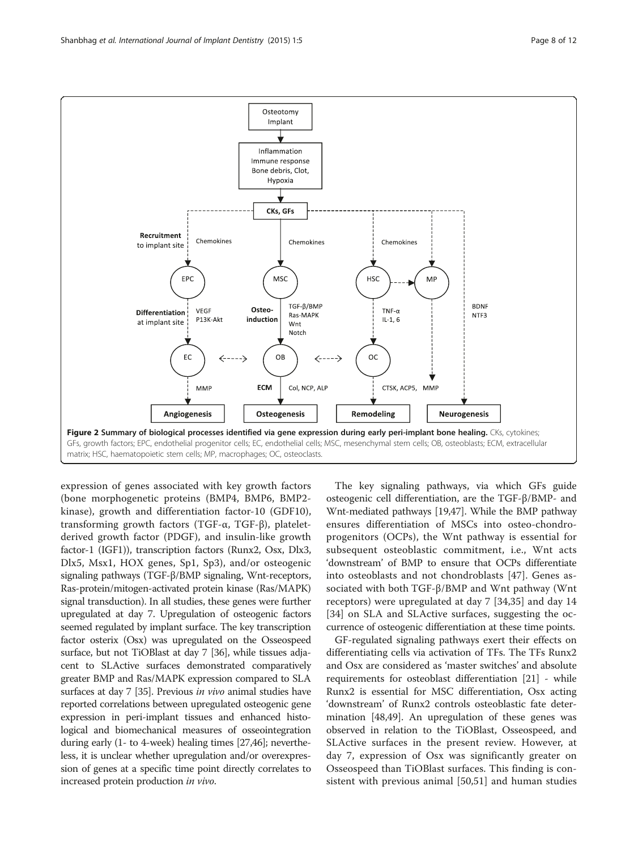<span id="page-7-0"></span>

expression of genes associated with key growth factors (bone morphogenetic proteins (BMP4, BMP6, BMP2 kinase), growth and differentiation factor-10 (GDF10), transforming growth factors (TGF-α, TGF-β), plateletderived growth factor (PDGF), and insulin-like growth factor-1 (IGF1)), transcription factors (Runx2, Osx, Dlx3, Dlx5, Msx1, HOX genes, Sp1, Sp3), and/or osteogenic signaling pathways (TGF-β/BMP signaling, Wnt-receptors, Ras-protein/mitogen-activated protein kinase (Ras/MAPK) signal transduction). In all studies, these genes were further upregulated at day 7. Upregulation of osteogenic factors seemed regulated by implant surface. The key transcription factor osterix (Osx) was upregulated on the Osseospeed surface, but not TiOBlast at day 7 [\[36\]](#page-10-0), while tissues adjacent to SLActive surfaces demonstrated comparatively greater BMP and Ras/MAPK expression compared to SLA surfaces at day 7 [[35](#page-10-0)]. Previous in vivo animal studies have reported correlations between upregulated osteogenic gene expression in peri-implant tissues and enhanced histological and biomechanical measures of osseointegration during early (1- to 4-week) healing times [\[27,46\]](#page-10-0); nevertheless, it is unclear whether upregulation and/or overexpression of genes at a specific time point directly correlates to increased protein production in vivo.

The key signaling pathways, via which GFs guide osteogenic cell differentiation, are the TGF-β/BMP- and Wnt-mediated pathways [\[19,](#page-10-0)[47](#page-11-0)]. While the BMP pathway ensures differentiation of MSCs into osteo-chondroprogenitors (OCPs), the Wnt pathway is essential for subsequent osteoblastic commitment, i.e., Wnt acts 'downstream' of BMP to ensure that OCPs differentiate into osteoblasts and not chondroblasts [\[47](#page-11-0)]. Genes associated with both TGF-β/BMP and Wnt pathway (Wnt receptors) were upregulated at day 7 [\[34](#page-10-0),[35\]](#page-10-0) and day 14 [[34\]](#page-10-0) on SLA and SLActive surfaces, suggesting the occurrence of osteogenic differentiation at these time points.

GF-regulated signaling pathways exert their effects on differentiating cells via activation of TFs. The TFs Runx2 and Osx are considered as 'master switches' and absolute requirements for osteoblast differentiation [[21\]](#page-10-0) - while Runx2 is essential for MSC differentiation, Osx acting 'downstream' of Runx2 controls osteoblastic fate determination [[48,49\]](#page-11-0). An upregulation of these genes was observed in relation to the TiOBlast, Osseospeed, and SLActive surfaces in the present review. However, at day 7, expression of Osx was significantly greater on Osseospeed than TiOBlast surfaces. This finding is consistent with previous animal [[50,51](#page-11-0)] and human studies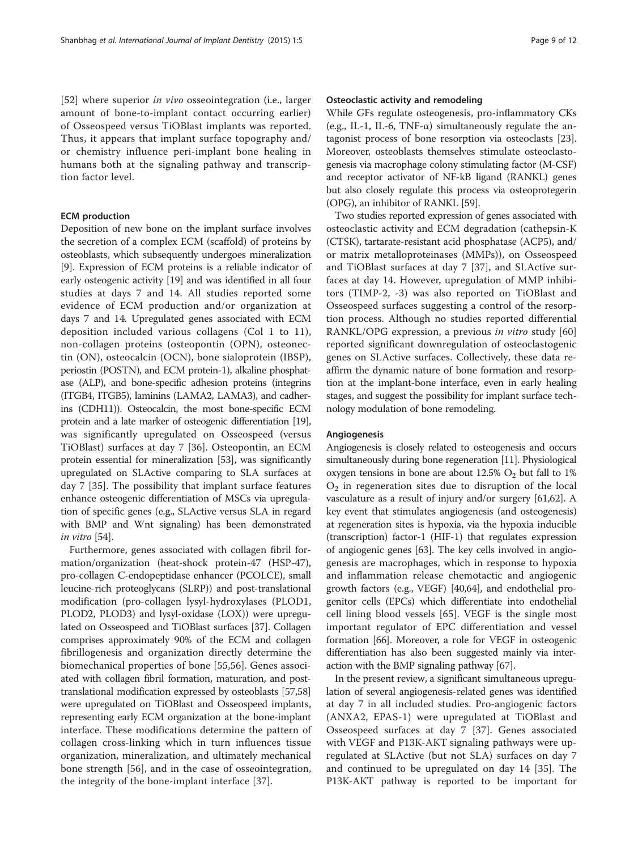[[52\]](#page-11-0) where superior *in vivo* osseointegration (i.e., larger amount of bone-to-implant contact occurring earlier) of Osseospeed versus TiOBlast implants was reported. Thus, it appears that implant surface topography and/ or chemistry influence peri-implant bone healing in humans both at the signaling pathway and transcription factor level.

# ECM production

Deposition of new bone on the implant surface involves the secretion of a complex ECM (scaffold) of proteins by osteoblasts, which subsequently undergoes mineralization [[9\]](#page-10-0). Expression of ECM proteins is a reliable indicator of early osteogenic activity [[19](#page-10-0)] and was identified in all four studies at days 7 and 14. All studies reported some evidence of ECM production and/or organization at days 7 and 14. Upregulated genes associated with ECM deposition included various collagens (Col 1 to 11), non-collagen proteins (osteopontin (OPN), osteonectin (ON), osteocalcin (OCN), bone sialoprotein (IBSP), periostin (POSTN), and ECM protein-1), alkaline phosphatase (ALP), and bone-specific adhesion proteins (integrins (ITGB4, ITGB5), laminins (LAMA2, LAMA3), and cadherins (CDH11)). Osteocalcin, the most bone-specific ECM protein and a late marker of osteogenic differentiation [\[19](#page-10-0)], was significantly upregulated on Osseospeed (versus TiOBlast) surfaces at day 7 [[36\]](#page-10-0). Osteopontin, an ECM protein essential for mineralization [\[53\]](#page-11-0), was significantly upregulated on SLActive comparing to SLA surfaces at day 7 [[35\]](#page-10-0). The possibility that implant surface features enhance osteogenic differentiation of MSCs via upregulation of specific genes (e.g., SLActive versus SLA in regard with BMP and Wnt signaling) has been demonstrated in vitro [\[54\]](#page-11-0).

Furthermore, genes associated with collagen fibril formation/organization (heat-shock protein-47 (HSP-47), pro-collagen C-endopeptidase enhancer (PCOLCE), small leucine-rich proteoglycans (SLRP)) and post-translational modification (pro-collagen lysyl-hydroxylases (PLOD1, PLOD2, PLOD3) and lysyl-oxidase (LOX)) were upregulated on Osseospeed and TiOBlast surfaces [[37](#page-10-0)]. Collagen comprises approximately 90% of the ECM and collagen fibrillogenesis and organization directly determine the biomechanical properties of bone [[55,56](#page-11-0)]. Genes associated with collagen fibril formation, maturation, and posttranslational modification expressed by osteoblasts [\[57,58](#page-11-0)] were upregulated on TiOBlast and Osseospeed implants, representing early ECM organization at the bone-implant interface. These modifications determine the pattern of collagen cross-linking which in turn influences tissue organization, mineralization, and ultimately mechanical bone strength [[56\]](#page-11-0), and in the case of osseointegration, the integrity of the bone-implant interface [\[37](#page-10-0)].

# Osteoclastic activity and remodeling

While GFs regulate osteogenesis, pro-inflammatory CKs (e.g., IL-1, IL-6, TNF- $\alpha$ ) simultaneously regulate the antagonist process of bone resorption via osteoclasts [\[23](#page-10-0)]. Moreover, osteoblasts themselves stimulate osteoclastogenesis via macrophage colony stimulating factor (M-CSF) and receptor activator of NF-kB ligand (RANKL) genes but also closely regulate this process via osteoprotegerin (OPG), an inhibitor of RANKL [[59](#page-11-0)].

Two studies reported expression of genes associated with osteoclastic activity and ECM degradation (cathepsin-K (CTSK), tartarate-resistant acid phosphatase (ACP5), and/ or matrix metalloproteinases (MMPs)), on Osseospeed and TiOBlast surfaces at day 7 [[37](#page-10-0)], and SLActive surfaces at day 14. However, upregulation of MMP inhibitors (TIMP-2, -3) was also reported on TiOBlast and Osseospeed surfaces suggesting a control of the resorption process. Although no studies reported differential RANKL/OPG expression, a previous in vitro study [\[60](#page-11-0)] reported significant downregulation of osteoclastogenic genes on SLActive surfaces. Collectively, these data reaffirm the dynamic nature of bone formation and resorption at the implant-bone interface, even in early healing stages, and suggest the possibility for implant surface technology modulation of bone remodeling.

# Angiogenesis

Angiogenesis is closely related to osteogenesis and occurs simultaneously during bone regeneration [[11](#page-10-0)]. Physiological oxygen tensions in bone are about  $12.5\%$  O<sub>2</sub> but fall to  $1\%$  $O<sub>2</sub>$  in regeneration sites due to disruption of the local vasculature as a result of injury and/or surgery [[61,62](#page-11-0)]. A key event that stimulates angiogenesis (and osteogenesis) at regeneration sites is hypoxia, via the hypoxia inducible (transcription) factor-1 (HIF-1) that regulates expression of angiogenic genes [[63](#page-11-0)]. The key cells involved in angiogenesis are macrophages, which in response to hypoxia and inflammation release chemotactic and angiogenic growth factors (e.g., VEGF) [\[40,](#page-10-0)[64](#page-11-0)], and endothelial progenitor cells (EPCs) which differentiate into endothelial cell lining blood vessels [[65\]](#page-11-0). VEGF is the single most important regulator of EPC differentiation and vessel formation [\[66\]](#page-11-0). Moreover, a role for VEGF in osteogenic differentiation has also been suggested mainly via interaction with the BMP signaling pathway [\[67](#page-11-0)].

In the present review, a significant simultaneous upregulation of several angiogenesis-related genes was identified at day 7 in all included studies. Pro-angiogenic factors (ANXA2, EPAS-1) were upregulated at TiOBlast and Osseospeed surfaces at day 7 [\[37](#page-10-0)]. Genes associated with VEGF and P13K-AKT signaling pathways were upregulated at SLActive (but not SLA) surfaces on day 7 and continued to be upregulated on day 14 [\[35](#page-10-0)]. The P13K-AKT pathway is reported to be important for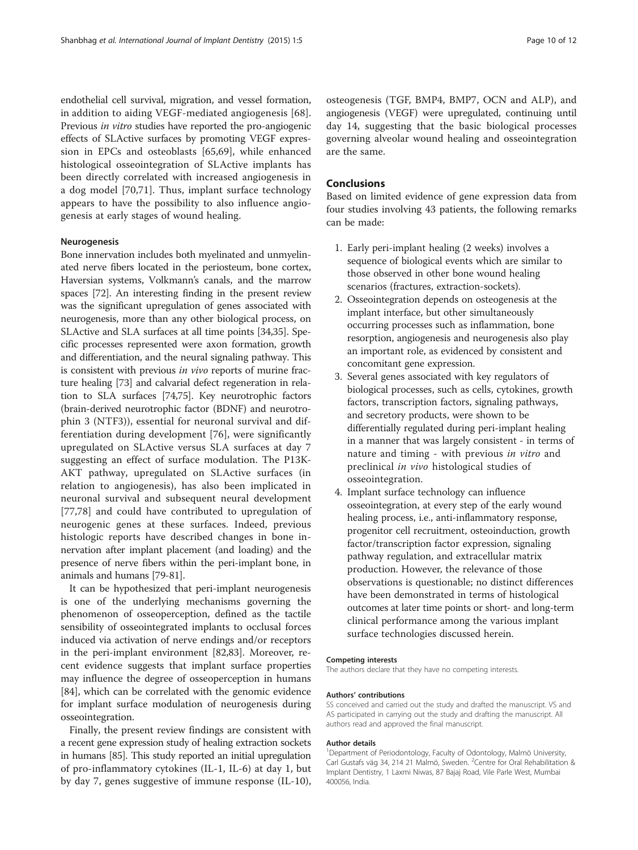endothelial cell survival, migration, and vessel formation, in addition to aiding VEGF-mediated angiogenesis [[68](#page-11-0)]. Previous in vitro studies have reported the pro-angiogenic effects of SLActive surfaces by promoting VEGF expression in EPCs and osteoblasts [[65,69\]](#page-11-0), while enhanced histological osseointegration of SLActive implants has been directly correlated with increased angiogenesis in a dog model [[70,71](#page-11-0)]. Thus, implant surface technology appears to have the possibility to also influence angiogenesis at early stages of wound healing.

# Neurogenesis

Bone innervation includes both myelinated and unmyelinated nerve fibers located in the periosteum, bone cortex, Haversian systems, Volkmann's canals, and the marrow spaces [\[72\]](#page-11-0). An interesting finding in the present review was the significant upregulation of genes associated with neurogenesis, more than any other biological process, on SLActive and SLA surfaces at all time points [\[34,35](#page-10-0)]. Specific processes represented were axon formation, growth and differentiation, and the neural signaling pathway. This is consistent with previous in vivo reports of murine fracture healing [\[73\]](#page-11-0) and calvarial defect regeneration in relation to SLA surfaces [\[74,75\]](#page-11-0). Key neurotrophic factors (brain-derived neurotrophic factor (BDNF) and neurotrophin 3 (NTF3)), essential for neuronal survival and differentiation during development [[76](#page-11-0)], were significantly upregulated on SLActive versus SLA surfaces at day 7 suggesting an effect of surface modulation. The P13K-AKT pathway, upregulated on SLActive surfaces (in relation to angiogenesis), has also been implicated in neuronal survival and subsequent neural development [[77,78](#page-11-0)] and could have contributed to upregulation of neurogenic genes at these surfaces. Indeed, previous histologic reports have described changes in bone innervation after implant placement (and loading) and the presence of nerve fibers within the peri-implant bone, in animals and humans [[79-81\]](#page-11-0).

It can be hypothesized that peri-implant neurogenesis is one of the underlying mechanisms governing the phenomenon of osseoperception, defined as the tactile sensibility of osseointegrated implants to occlusal forces induced via activation of nerve endings and/or receptors in the peri-implant environment [[82](#page-11-0),[83](#page-11-0)]. Moreover, recent evidence suggests that implant surface properties may influence the degree of osseoperception in humans [[84\]](#page-11-0), which can be correlated with the genomic evidence for implant surface modulation of neurogenesis during osseointegration.

Finally, the present review findings are consistent with a recent gene expression study of healing extraction sockets in humans [[85](#page-11-0)]. This study reported an initial upregulation of pro-inflammatory cytokines (IL-1, IL-6) at day 1, but by day 7, genes suggestive of immune response (IL-10),

osteogenesis (TGF, BMP4, BMP7, OCN and ALP), and angiogenesis (VEGF) were upregulated, continuing until day 14, suggesting that the basic biological processes governing alveolar wound healing and osseointegration are the same.

# Conclusions

Based on limited evidence of gene expression data from four studies involving 43 patients, the following remarks can be made:

- 1. Early peri-implant healing (2 weeks) involves a sequence of biological events which are similar to those observed in other bone wound healing scenarios (fractures, extraction-sockets).
- 2. Osseointegration depends on osteogenesis at the implant interface, but other simultaneously occurring processes such as inflammation, bone resorption, angiogenesis and neurogenesis also play an important role, as evidenced by consistent and concomitant gene expression.
- 3. Several genes associated with key regulators of biological processes, such as cells, cytokines, growth factors, transcription factors, signaling pathways, and secretory products, were shown to be differentially regulated during peri-implant healing in a manner that was largely consistent - in terms of nature and timing - with previous in vitro and preclinical in vivo histological studies of osseointegration.
- 4. Implant surface technology can influence osseointegration, at every step of the early wound healing process, i.e., anti-inflammatory response, progenitor cell recruitment, osteoinduction, growth factor/transcription factor expression, signaling pathway regulation, and extracellular matrix production. However, the relevance of those observations is questionable; no distinct differences have been demonstrated in terms of histological outcomes at later time points or short- and long-term clinical performance among the various implant surface technologies discussed herein.

#### Competing interests

The authors declare that they have no competing interests.

#### Authors' contributions

SS conceived and carried out the study and drafted the manuscript. VS and AS participated in carrying out the study and drafting the manuscript. All authors read and approved the final manuscript.

#### Author details

<sup>1</sup>Department of Periodontology, Faculty of Odontology, Malmö University Carl Gustafs väg 34, 214 21 Malmö, Sweden. <sup>2</sup>Centre for Oral Rehabilitation & Implant Dentistry, 1 Laxmi Niwas, 87 Bajaj Road, Vile Parle West, Mumbai 400056, India.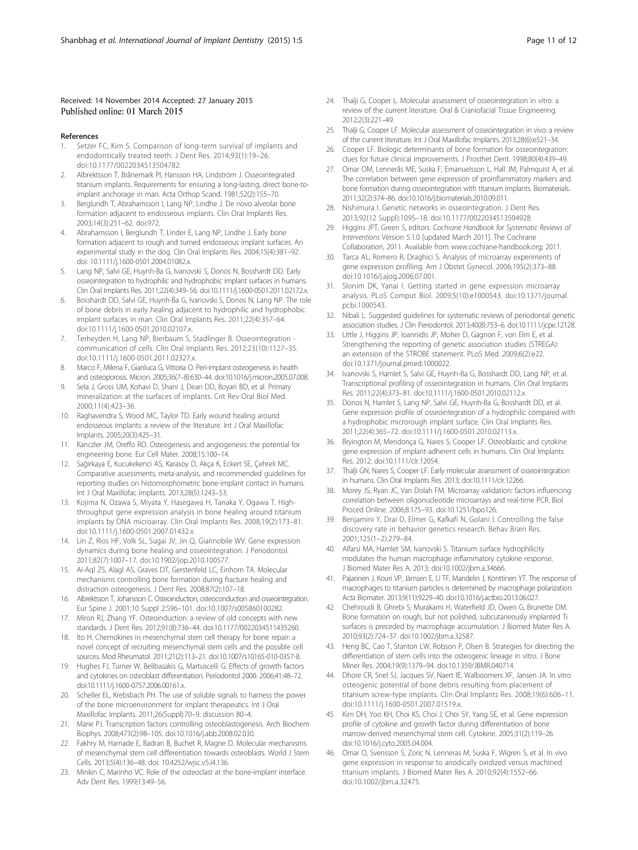# <span id="page-10-0"></span>Received: 14 November 2014 Accepted: 27 January 2015 Published online: 01 March 2015

### References

- Setzer FC, Kim S. Comparison of long-term survival of implants and endodontically treated teeth. J Dent Res. 2014;93(1):19–26. doi:10.1177/0022034513504782.
- 2. Albrektsson T, Brånemark PI, Hansson HA, Lindström J. Osseointegrated titanium implants. Requirements for ensuring a long-lasting, direct bone-toimplant anchorage in man. Acta Orthop Scand. 1981;52(2):155–70.
- Berglundh T, Abrahamsson I, Lang NP, Lindhe J. De novo alveolar bone formation adjacent to endosseous implants. Clin Oral Implants Res. 2003;14(3):251–62. doi:972.
- 4. Abrahamsson I, Berglundh T, Linder E, Lang NP, Lindhe J. Early bone formation adjacent to rough and turned endosseous implant surfaces. An experimental study in the dog. Clin Oral Implants Res. 2004;15(4):381–92. doi: 10.1111/j.1600-0501.2004.01082.x.
- Lang NP, Salvi GE, Huynh-Ba G, Ivanovski S, Donos N, Bosshardt DD. Early osseointegration to hydrophilic and hydrophobic implant surfaces in humans. Clin Oral Implants Res. 2011;22(4):349–56. doi:10.1111/j.1600-0501.2011.02172.x.
- 6. Bosshardt DD, Salvi GE, Huynh-Ba G, Ivanovski S, Donos N, Lang NP. The role of bone debris in early healing adjacent to hydrophilic and hydrophobic implant surfaces in man. Clin Oral Implants Res. 2011;22(4):357–64. doi:10.1111/j.1600-0501.2010.02107.x.
- 7. Terheyden H, Lang NP, Bierbaum S, Stadlinger B. Osseointegration communication of cells. Clin Oral Implants Res. 2012;23(10):1127–35. doi:10.1111/j.1600-0501.2011.02327.x.
- Marco F, Milena F, Gianluca G, Vittoria O. Peri-implant osteogenesis in health and osteoporosis. Micron. 2005;36(7–8):630–44. doi:10.1016/j.micron.2005.07.008.
- 9. Sela J, Gross UM, Kohavi D, Shani J, Dean DD, Boyan BD, et al. Primary mineralization at the surfaces of implants. Crit Rev Oral Biol Med. 2000;11(4):423–36.
- 10. Raghavendra S, Wood MC, Taylor TD. Early wound healing around endosseous implants: a review of the literature. Int J Oral Maxillofac Implants. 2005;20(3):425–31.
- 11. Kanczler JM, Oreffo RO. Osteogenesis and angiogenesis: the potential for engineering bone. Eur Cell Mater. 2008;15:100–14.
- 12. Sağirkaya E, Kucukekenci AS, Karasoy D, Akça K, Eckert SE, Çehreli MC. Comparative assessments, meta-analysis, and recommended guidelines for reporting studies on histomorphometric bone-implant contact in humans. Int J Oral Maxillofac Implants. 2013;28(5):1243–53.
- 13. Kojima N, Ozawa S, Miyata Y, Hasegawa H, Tanaka Y, Ogawa T. Highthroughput gene expression analysis in bone healing around titanium implants by DNA microarray. Clin Oral Implants Res. 2008;19(2):173–81. doi:10.1111/j.1600-0501.2007.01432.x.
- 14. Lin Z, Rios HF, Volk SL, Sugai JV, Jin Q, Giannobile WV. Gene expression dynamics during bone healing and osseointegration. J Periodontol. 2011;82(7):1007–17. doi:10.1902/jop.2010.100577.
- 15. Ai-Aql ZS, Alagl AS, Graves DT, Gerstenfeld LC, Einhorn TA. Molecular mechanisms controlling bone formation during fracture healing and distraction osteogenesis. J Dent Res. 2008;87(2):107–18.
- 16. Albrektsson T, Johansson C. Osteoinduction, osteoconduction and osseointegration. Eur Spine J. 2001;10 Suppl 2:S96–101. doi:10.1007/s005860100282.
- 17. Miron RJ, Zhang YF. Osteoinduction: a review of old concepts with new standards. J Dent Res. 2012;91(8):736–44. doi:10.1177/0022034511435260.
- 18. Ito H. Chemokines in mesenchymal stem cell therapy for bone repair: a novel concept of recruiting mesenchymal stem cells and the possible cell sources. Mod Rheumatol. 2011;21(2):113–21. doi:10.1007/s10165-010-0357-8.
- 19. Hughes FJ, Turner W, Belibasakis G, Martuscelli G. Effects of growth factors and cytokines on osteoblast differentiation. Periodontol 2000. 2006;41:48–72. doi:10.1111/j.1600-0757.2006.00161.x.
- 20. Scheller EL, Krebsbach PH. The use of soluble signals to harness the power of the bone microenvironment for implant therapeutics. Int J Oral Maxillofac Implants. 2011;26(Suppl):70–9. discussion 80–4.
- 21. Marie PJ. Transcription factors controlling osteoblastogenesis. Arch Biochem Biophys. 2008;473(2):98–105. doi:10.1016/j.abb.2008.02.030.
- 22. Fakhry M, Hamade E, Badran B, Buchet R, Magne D. Molecular mechanisms of mesenchymal stem cell differentiation towards osteoblasts. World J Stem Cells. 2013;5(4):136–48. doi: 10.4252/wjsc.v5.i4.136.
- 23. Minkin C, Marinho VC. Role of the osteoclast at the bone-implant interface. Adv Dent Res. 1999;13:49–56.
- 24. Thalji G, Cooper L. Molecular assessment of osseointegration in vitro: a review of the current literature. Oral & Craniofacial Tissue Engineering. 2012;2(3):221–49.
- 25. Thalji G, Cooper LF. Molecular assessment of osseointegration in vivo: a review of the current literature. Int J Oral Maxillofac Implants. 2013;28(6):e521–34.
- 26. Cooper LF. Biologic determinants of bone formation for osseointegration: clues for future clinical improvements. J Prosthet Dent. 1998;80(4):439–49.
- 27. Omar OM, Lennerås ME, Suska F, Emanuelsson L, Hall JM, Palmquist A, et al. The correlation between gene expression of proinflammatory markers and bone formation during osseointegration with titanium implants. Biomaterials. 2011;32(2):374–86. doi:10.1016/j.biomaterials.2010.09.011.
- 28. Nishimura I. Genetic networks in osseointegration. J Dent Res. 2013;92(12 Suppl):109S–18. doi:10.1177/0022034513504928.
- 29. Higgins JPT, Green S, editors. Cochrane Handbook for Systematic Reviews of Interventions Version 5.1.0 [updated March 2011]. The Cochrane Collaboration, 2011. Available from [www.cochrane-handbook.org](http://www.cochrane-handbook.org); 2011.
- 30. Tarca AL, Romero R, Draghici S. Analysis of microarray experiments of gene expression profiling. Am J Obstet Gynecol. 2006;195(2):373–88. doi:10.1016/j.ajog.2006.07.001.
- 31. Slonim DK, Yanai I. Getting started in gene expression microarray analysis. PLoS Comput Biol. 2009;5(10):e1000543. doi:10.1371/journal. pcbi.1000543.
- 32. Nibali L. Suggested guidelines for systematic reviews of periodontal genetic association studies. J Clin Periodontol. 2013;40(8):753–6. doi:10.1111/jcpe.12128.
- 33. Little J, Higgins JP, Ioannidis JP, Moher D, Gagnon F, von Elm E, et al. Strengthening the reporting of genetic association studies (STREGA): an extension of the STROBE statement. PLoS Med. 2009;6(2):e22. doi:10.1371/journal.pmed.1000022.
- 34. Ivanovski S, Hamlet S, Salvi GE, Huynh-Ba G, Bosshardt DD, Lang NP, et al. Transcriptional profiling of osseointegration in humans. Clin Oral Implants Res. 2011;22(4):373–81. doi:10.1111/j.1600-0501.2010.02112.x.
- 35. Donos N, Hamlet S, Lang NP, Salvi GE, Huynh-Ba G, Bosshardt DD, et al. Gene expression profile of osseointegration of a hydrophilic compared with a hydrophobic microrough implant surface. Clin Oral Implants Res. 2011;22(4):365–72. doi:10.1111/j.1600-0501.2010.02113.x.
- 36. Bryington M, Mendonça G, Nares S, Cooper LF. Osteoblastic and cytokine gene expression of implant-adherent cells in humans. Clin Oral Implants Res. 2012; doi:10.1111/clr.12054.
- 37. Thalji GN, Nares S, Cooper LF. Early molecular assessment of osseointegration in humans. Clin Oral Implants Res. 2013; doi:10.1111/clr.12266.
- 38. Morey JS, Ryan JC, Van Dolah FM. Microarray validation: factors influencing correlation between oligonucleotide microarrays and real-time PCR. Biol Proced Online. 2006;8:175–93. doi:10.1251/bpo126.
- 39. Benjamini Y, Drai D, Elmer G, Kafkafi N, Golani I. Controlling the false discovery rate in behavior genetics research. Behav Brain Res. 2001;125(1–2):279–84.
- 40. Alfarsi MA, Hamlet SM, Ivanovski S. Titanium surface hydrophilicity modulates the human macrophage inflammatory cytokine response. J Biomed Mater Res A. 2013; doi:10.1002/jbm.a.34666.
- 41. Pajarinen J, Kouri VP, Jämsen E, Li TF, Mandelin J, Konttinen YT. The response of macrophages to titanium particles is determined by macrophage polarization. Acta Biomater. 2013;9(11):9229–40. doi:10.1016/j.actbio.2013.06.027.
- 42. Chehroudi B, Ghrebi S, Murakami H, Waterfield JD, Owen G, Brunette DM. Bone formation on rough, but not polished, subcutaneously implanted Ti surfaces is preceded by macrophage accumulation. J Biomed Mater Res A. 2010;93(2):724–37. doi:10.1002/jbm.a.32587.
- 43. Heng BC, Cao T, Stanton LW, Robson P, Olsen B. Strategies for directing the differentiation of stem cells into the osteogenic lineage in vitro. J Bone Miner Res. 2004;19(9):1379–94. doi:10.1359/JBMR.040714.
- 44. Dhore CR, Snel SJ, Jacques SV, Naert IE, Walboomers XF, Jansen JA. In vitro osteogenic potential of bone debris resulting from placement of titanium screw-type implants. Clin Oral Implants Res. 2008;19(6):606–11. doi:10.1111/j.1600-0501.2007.01519.x.
- 45. Kim DH, Yoo KH, Choi KS, Choi J, Choi SY, Yang SE, et al. Gene expression profile of cytokine and growth factor during differentiation of bone marrow-derived mesenchymal stem cell. Cytokine. 2005;31(2):119–26. doi:10.1016/j.cyto.2005.04.004.
- 46. Omar O, Svensson S, Zoric N, Lenneras M, Suska F, Wigren S, et al. In vivo gene expression in response to anodically oxidized versus machined titanium implants. J Biomed Mater Res A. 2010;92(4):1552–66. doi:10.1002/jbm.a.32475.